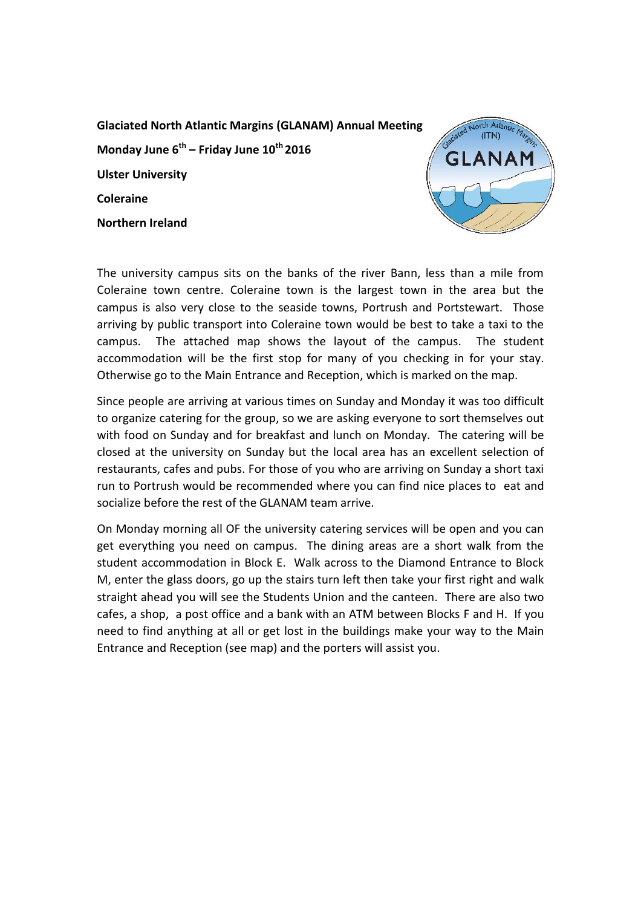**Glaciated North Atlantic Margins (GLANAM) Annual Meeting Monday June 6th – Friday June 10th 2016 Ulster University Coleraine Northern Ireland**



The university campus sits on the banks of the river Bann, less than a mile from Coleraine town centre. Coleraine town is the largest town in the area but the campus is also very close to the seaside towns, Portrush and Portstewart. Those arriving by public transport into Coleraine town would be best to take a taxi to the campus. The attached map shows the layout of the campus. The student accommodation will be the first stop for many of you checking in for your stay. Otherwise go to the Main Entrance and Reception, which is marked on the map.

Since people are arriving at various times on Sunday and Monday it was too difficult to organize catering for the group, so we are asking everyone to sort themselves out with food on Sunday and for breakfast and lunch on Monday. The catering will be closed at the university on Sunday but the local area has an excellent selection of restaurants, cafes and pubs. For those of you who are arriving on Sunday a short taxi run to Portrush would be recommended where you can find nice places to eat and socialize before the rest of the GLANAM team arrive.

On Monday morning all OF the university catering services will be open and you can get everything you need on campus. The dining areas are a short walk from the student accommodation in Block E. Walk across to the Diamond Entrance to Block M, enter the glass doors, go up the stairs turn left then take your first right and walk straight ahead you will see the Students Union and the canteen. There are also two cafes, a shop, a post office and a bank with an ATM between Blocks F and H. If you need to find anything at all or get lost in the buildings make your way to the Main Entrance and Reception (see map) and the porters will assist you.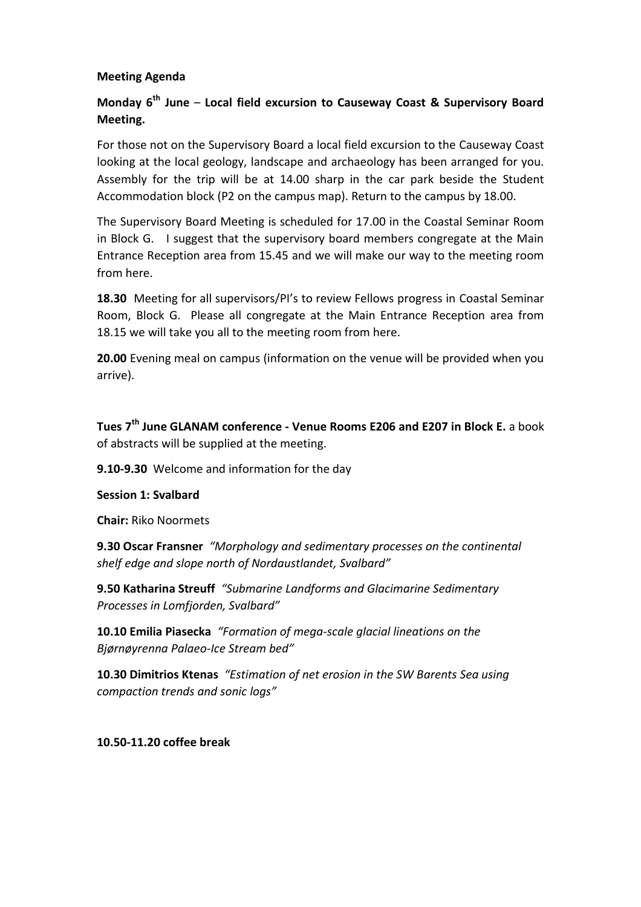# **Meeting Agenda**

# **Monday 6th June** – **Local field excursion to Causeway Coast & Supervisory Board Meeting.**

For those not on the Supervisory Board a local field excursion to the Causeway Coast looking at the local geology, landscape and archaeology has been arranged for you. Assembly for the trip will be at 14.00 sharp in the car park beside the Student Accommodation block (P2 on the campus map). Return to the campus by 18.00.

The Supervisory Board Meeting is scheduled for 17.00 in the Coastal Seminar Room in Block G. I suggest that the supervisory board members congregate at the Main Entrance Reception area from 15.45 and we will make our way to the meeting room from here.

**18.30** Meeting for all supervisors/PI's to review Fellows progress in Coastal Seminar Room, Block G. Please all congregate at the Main Entrance Reception area from 18.15 we will take you all to the meeting room from here.

**20.00** Evening meal on campus (information on the venue will be provided when you arrive).

**Tues 7th June GLANAM conference - Venue Rooms E206 and E207 in Block E.** a book of abstracts will be supplied at the meeting.

**9.10-9.30** Welcome and information for the day

#### **Session 1: Svalbard**

**Chair:** Riko Noormets

**9.30 Oscar Fransner** *"Morphology and sedimentary processes on the continental shelf edge and slope north of Nordaustlandet, Svalbard"*

**9.50 Katharina Streuff** *"Submarine Landforms and Glacimarine Sedimentary Processes in Lomfjorden, Svalbard"*

**10.10 Emilia Piasecka** *"Formation of mega-scale glacial lineations on the Bjørnøyrenna Palaeo-Ice Stream bed"*

**10.30 Dimitrios Ktenas** *"Estimation of net erosion in the SW Barents Sea using compaction trends and sonic logs"*

**10.50-11.20 coffee break**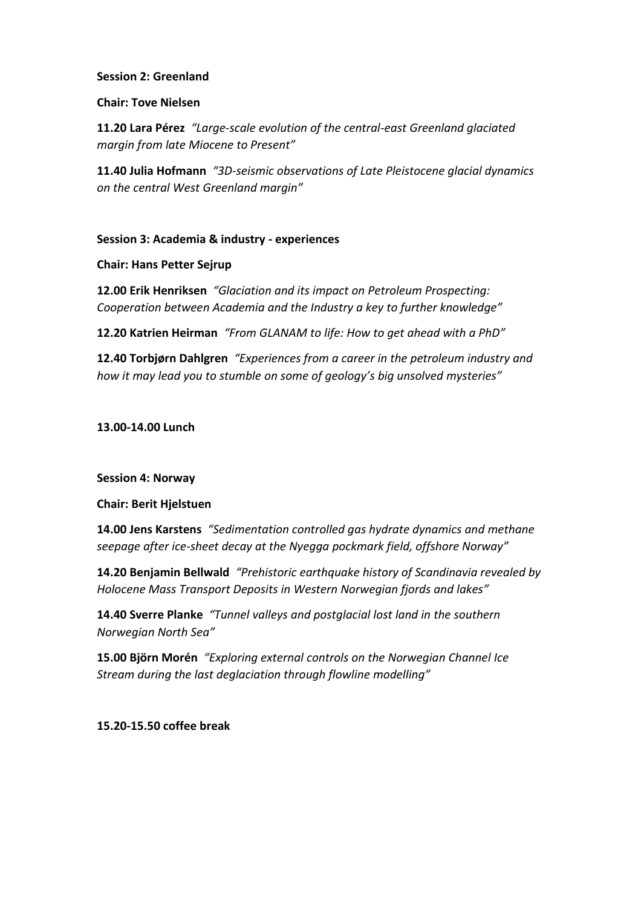#### **Session 2: Greenland**

#### **Chair: Tove Nielsen**

**11.20 Lara Pérez** *"Large-scale evolution of the central-east Greenland glaciated margin from late Miocene to Present"*

**11.40 Julia Hofmann** *"3D-seismic observations of Late Pleistocene glacial dynamics on the central West Greenland margin"*

## **Session 3: Academia & industry - experiences**

## **Chair: Hans Petter Sejrup**

**12.00 Erik Henriksen** *"Glaciation and its impact on Petroleum Prospecting: Cooperation between Academia and the Industry a key to further knowledge"*

**12.20 Katrien Heirman** *"From GLANAM to life: How to get ahead with a PhD"*

**12.40 Torbjørn Dahlgren** *"Experiences from a career in the petroleum industry and how it may lead you to stumble on some of geology's big unsolved mysteries"*

**13.00-14.00 Lunch**

**Session 4: Norway**

**Chair: Berit Hjelstuen**

**14.00 Jens Karstens** *"Sedimentation controlled gas hydrate dynamics and methane seepage after ice-sheet decay at the Nyegga pockmark field, offshore Norway"*

**14.20 Benjamin Bellwald** *"Prehistoric earthquake history of Scandinavia revealed by Holocene Mass Transport Deposits in Western Norwegian fjords and lakes"*

**14.40 Sverre Planke** *"Tunnel valleys and postglacial lost land in the southern Norwegian North Sea"*

**15.00 Björn Morén** *"Exploring external controls on the Norwegian Channel Ice Stream during the last deglaciation through flowline modelling"*

**15.20-15.50 coffee break**